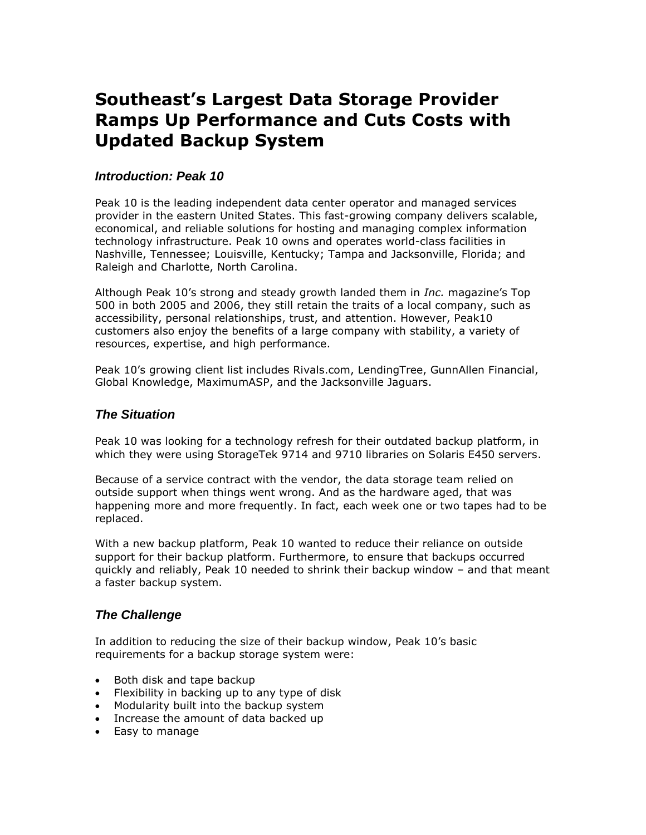# **Southeast's Largest Data Storage Provider Ramps Up Performance and Cuts Costs with Updated Backup System**

## *Introduction: Peak 10*

Peak 10 is the leading independent data center operator and managed services provider in the eastern United States. This fast-growing company delivers scalable, economical, and reliable solutions for hosting and managing complex information technology infrastructure. Peak 10 owns and operates world-class facilities in Nashville, Tennessee; Louisville, Kentucky; Tampa and Jacksonville, Florida; and Raleigh and Charlotte, North Carolina.

Although Peak 10's strong and steady growth landed them in *Inc.* magazine's Top 500 in both 2005 and 2006, they still retain the traits of a local company, such as accessibility, personal relationships, trust, and attention. However, Peak10 customers also enjoy the benefits of a large company with stability, a variety of resources, expertise, and high performance.

Peak 10's growing client list includes Rivals.com, LendingTree, GunnAllen Financial, Global Knowledge, MaximumASP, and the Jacksonville Jaguars.

#### *The Situation*

Peak 10 was looking for a technology refresh for their outdated backup platform, in which they were using StorageTek 9714 and 9710 libraries on Solaris E450 servers.

Because of a service contract with the vendor, the data storage team relied on outside support when things went wrong. And as the hardware aged, that was happening more and more frequently. In fact, each week one or two tapes had to be replaced.

With a new backup platform, Peak 10 wanted to reduce their reliance on outside support for their backup platform. Furthermore, to ensure that backups occurred quickly and reliably, Peak 10 needed to shrink their backup window – and that meant a faster backup system.

## *The Challenge*

In addition to reducing the size of their backup window, Peak 10's basic requirements for a backup storage system were:

- Both disk and tape backup
- Flexibility in backing up to any type of disk
- Modularity built into the backup system
- Increase the amount of data backed up
- Easy to manage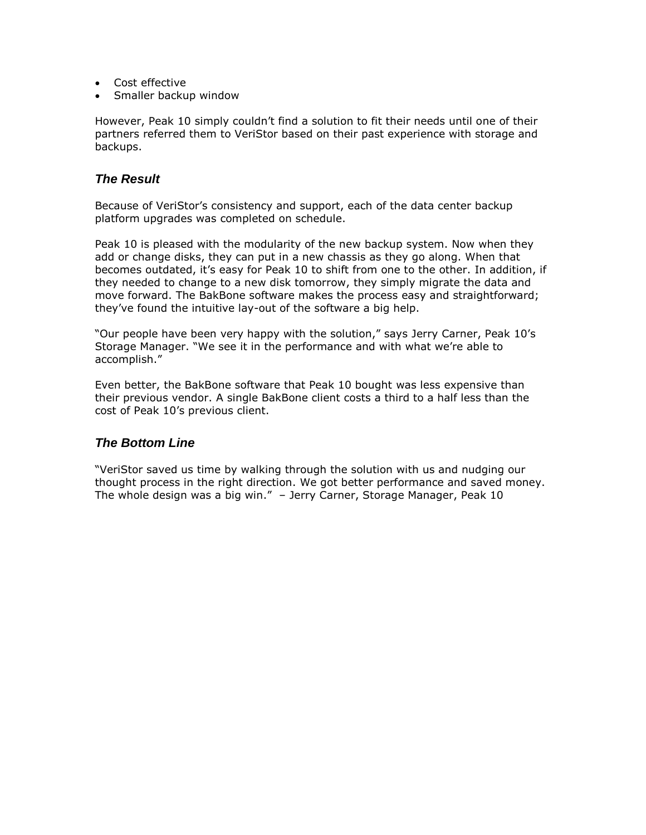- Cost effective
- Smaller backup window

However, Peak 10 simply couldn't find a solution to fit their needs until one of their partners referred them to VeriStor based on their past experience with storage and backups.

#### *The Result*

Because of VeriStor's consistency and support, each of the data center backup platform upgrades was completed on schedule.

Peak 10 is pleased with the modularity of the new backup system. Now when they add or change disks, they can put in a new chassis as they go along. When that becomes outdated, it's easy for Peak 10 to shift from one to the other. In addition, if they needed to change to a new disk tomorrow, they simply migrate the data and move forward. The BakBone software makes the process easy and straightforward; they've found the intuitive lay-out of the software a big help.

"Our people have been very happy with the solution," says Jerry Carner, Peak 10's Storage Manager. "We see it in the performance and with what we're able to accomplish."

Even better, the BakBone software that Peak 10 bought was less expensive than their previous vendor. A single BakBone client costs a third to a half less than the cost of Peak 10's previous client.

## *The Bottom Line*

"VeriStor saved us time by walking through the solution with us and nudging our thought process in the right direction. We got better performance and saved money. The whole design was a big win." – Jerry Carner, Storage Manager, Peak 10